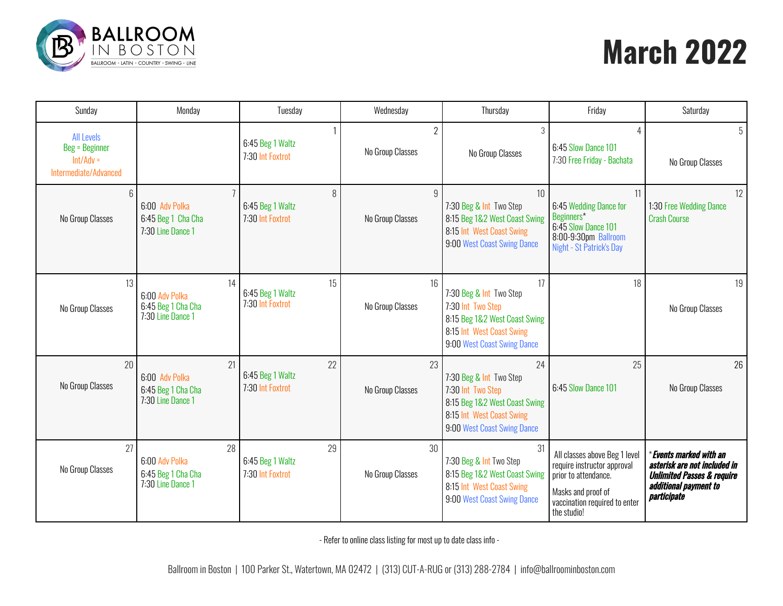

# **March 2022**

| Sunday                                                                             | Monday                                                          | Tuesday                                    | Wednesday                          | Thursday                                                                                                                                        | Friday                                                                                                                                                     | Saturday                                                                                                                                 |
|------------------------------------------------------------------------------------|-----------------------------------------------------------------|--------------------------------------------|------------------------------------|-------------------------------------------------------------------------------------------------------------------------------------------------|------------------------------------------------------------------------------------------------------------------------------------------------------------|------------------------------------------------------------------------------------------------------------------------------------------|
| <b>All Levels</b><br><b>Beg = Beginner</b><br>$Int/Adv =$<br>Intermediate/Advanced |                                                                 | 6:45 Beg 1 Waltz<br>7:30 Int Foxtrot       | $\overline{2}$<br>No Group Classes | 3<br>No Group Classes                                                                                                                           | 6:45 Slow Dance 101<br>7:30 Free Friday - Bachata                                                                                                          | 5<br>No Group Classes                                                                                                                    |
| 6<br>No Group Classes                                                              | 6:00 Adv Polka<br>6:45 Beg 1 Cha Cha<br>7:30 Line Dance 1       | 8<br>6:45 Beg 1 Waltz<br>7:30 Int Foxtrot  | 9<br>No Group Classes              | 10 <sup>1</sup><br>7:30 Beg & Int Two Step<br>8:15 Beg 1&2 West Coast Swing<br>8:15 Int West Coast Swing<br>9:00 West Coast Swing Dance         | 11<br>6:45 Wedding Dance for<br>Beginners*<br>6:45 Slow Dance 101<br>8:00-9:30pm Ballroom<br>Night - St Patrick's Day                                      | 12<br>1:30 Free Wedding Dance<br><b>Crash Course</b>                                                                                     |
| 13<br>No Group Classes                                                             | 14<br>6:00 Adv Polka<br>6:45 Beg 1 Cha Cha<br>7:30 Line Dance 1 | 15<br>6:45 Beg 1 Waltz<br>7:30 Int Foxtrot | 16<br>No Group Classes             | 17<br>7:30 Beg & Int Two Step<br>7:30 Int Two Step<br>8:15 Beg 1&2 West Coast Swing<br>8:15 Int West Coast Swing<br>9:00 West Coast Swing Dance | 18                                                                                                                                                         | 19<br>No Group Classes                                                                                                                   |
| 20<br>No Group Classes                                                             | 21<br>6:00 Adv Polka<br>6:45 Beg 1 Cha Cha<br>7:30 Line Dance 1 | 22<br>6:45 Beg 1 Waltz<br>7:30 Int Foxtrot | 23<br>No Group Classes             | 24<br>7:30 Beg & Int Two Step<br>7:30 Int Two Step<br>8:15 Beg 1&2 West Coast Swing<br>8:15 Int West Coast Swing<br>9:00 West Coast Swing Dance | 25<br>6:45 Slow Dance 101                                                                                                                                  | 26<br>No Group Classes                                                                                                                   |
| 27<br>No Group Classes                                                             | 28<br>6:00 Adv Polka<br>6:45 Beg 1 Cha Cha<br>7:30 Line Dance 1 | 29<br>6:45 Beg 1 Waltz<br>7:30 Int Foxtrot | 30<br>No Group Classes             | 31<br>7:30 Beg & Int Two Step<br>8:15 Beg 1&2 West Coast Swing<br>8:15 Int West Coast Swing<br>9:00 West Coast Swing Dance                      | All classes above Beg 1 level<br>require instructor approval<br>prior to attendance.<br>Masks and proof of<br>vaccination required to enter<br>the studio! | * Events marked with an<br>asterisk are not included in<br><b>Unlimited Passes &amp; require</b><br>additional payment to<br>participate |

- Refer to online class listing for most up to date class info -